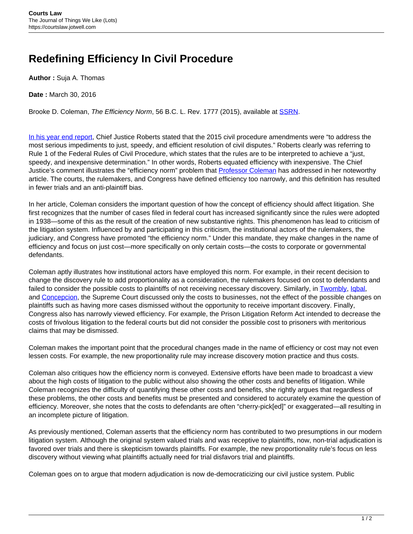## **Redefining Efficiency In Civil Procedure**

**Author :** Suja A. Thomas

**Date :** March 30, 2016

Brooke D. Coleman, The Efficiency Norm, 56 B.C. L. Rev. 1777 (2015), available at [SSRN](http://papers.ssrn.com/sol3/papers.cfm?abstract_id=2639817).

[In his year end report](http://www.supremecourt.gov/publicinfo/year-end/2015year-endreport.pdf), Chief Justice Roberts stated that the 2015 civil procedure amendments were "to address the most serious impediments to just, speedy, and efficient resolution of civil disputes." Roberts clearly was referring to Rule 1 of the Federal Rules of Civil Procedure, which states that the rules are to be interpreted to achieve a "just, speedy, and inexpensive determination." In other words, Roberts equated efficiency with inexpensive. The Chief Justice's comment illustrates the "efficiency norm" problem that **Professor Coleman** has addressed in her noteworthy article. The courts, the rulemakers, and Congress have defined efficiency too narrowly, and this definition has resulted in fewer trials and an anti-plaintiff bias.

In her article, Coleman considers the important question of how the concept of efficiency should affect litigation. She first recognizes that the number of cases filed in federal court has increased significantly since the rules were adopted in 1938—some of this as the result of the creation of new substantive rights. This phenomenon has lead to criticism of the litigation system. Influenced by and participating in this criticism, the institutional actors of the rulemakers, the judiciary, and Congress have promoted "the efficiency norm." Under this mandate, they make changes in the name of efficiency and focus on just cost—more specifically on only certain costs—the costs to corporate or governmental defendants.

Coleman aptly illustrates how institutional actors have employed this norm. For example, in their recent decision to change the discovery rule to add proportionality as a consideration, the rulemakers focused on cost to defendants and failed to consider the possible costs to plaintiffs of not receiving necessary discovery. Similarly, in [Twombly](https://supreme.justia.com/cases/federal/us/550/544/), [Iqbal,](https://supreme.justia.com/cases/federal/us/556/662/) and [Concepcion,](https://supreme.justia.com/cases/federal/us/563/09-893/) the Supreme Court discussed only the costs to businesses, not the effect of the possible changes on plaintiffs such as having more cases dismissed without the opportunity to receive important discovery. Finally, Congress also has narrowly viewed efficiency. For example, the Prison Litigation Reform Act intended to decrease the costs of frivolous litigation to the federal courts but did not consider the possible cost to prisoners with meritorious claims that may be dismissed.

Coleman makes the important point that the procedural changes made in the name of efficiency or cost may not even lessen costs. For example, the new proportionality rule may increase discovery motion practice and thus costs.

Coleman also critiques how the efficiency norm is conveyed. Extensive efforts have been made to broadcast a view about the high costs of litigation to the public without also showing the other costs and benefits of litigation. While Coleman recognizes the difficulty of quantifying these other costs and benefits, she rightly argues that regardless of these problems, the other costs and benefits must be presented and considered to accurately examine the question of efficiency. Moreover, she notes that the costs to defendants are often "cherry-pick[ed]" or exaggerated—all resulting in an incomplete picture of litigation.

As previously mentioned, Coleman asserts that the efficiency norm has contributed to two presumptions in our modern litigation system. Although the original system valued trials and was receptive to plaintiffs, now, non-trial adjudication is favored over trials and there is skepticism towards plaintiffs. For example, the new proportionality rule's focus on less discovery without viewing what plaintiffs actually need for trial disfavors trial and plaintiffs.

Coleman goes on to argue that modern adjudication is now de-democraticizing our civil justice system. Public